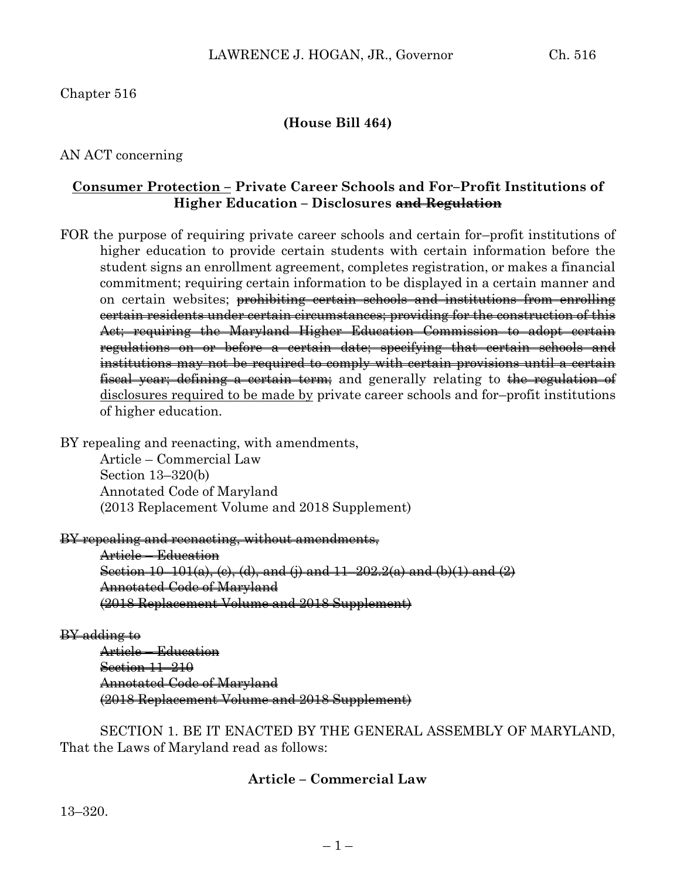## Chapter 516

### **(House Bill 464)**

### AN ACT concerning

### **Consumer Protection – Private Career Schools and For–Profit Institutions of Higher Education – Disclosures and Regulation**

- FOR the purpose of requiring private career schools and certain for–profit institutions of higher education to provide certain students with certain information before the student signs an enrollment agreement, completes registration, or makes a financial commitment; requiring certain information to be displayed in a certain manner and on certain websites; prohibiting certain schools and institutions from enrolling certain residents under certain circumstances; providing for the construction of this Act; requiring the Maryland Higher Education Commission to adopt certain regulations on or before a certain date; specifying that certain schools and institutions may not be required to comply with certain provisions until a certain fiscal year; defining a certain term; and generally relating to the regulation of disclosures required to be made by private career schools and for–profit institutions of higher education.
- BY repealing and reenacting, with amendments, Article – Commercial Law

Section 13–320(b) Annotated Code of Maryland (2013 Replacement Volume and 2018 Supplement)

#### BY repealing and reenacting, without amendments,

Article – Education Section  $10-101(a)$ , (c), (d), and (j) and  $11-202.2(a)$  and (b)(1) and (2) Annotated Code of Maryland (2018 Replacement Volume and 2018 Supplement)

#### BY adding to

Article – Education Section 11–210 Annotated Code of Maryland (2018 Replacement Volume and 2018 Supplement)

SECTION 1. BE IT ENACTED BY THE GENERAL ASSEMBLY OF MARYLAND, That the Laws of Maryland read as follows:

### **Article – Commercial Law**

13–320.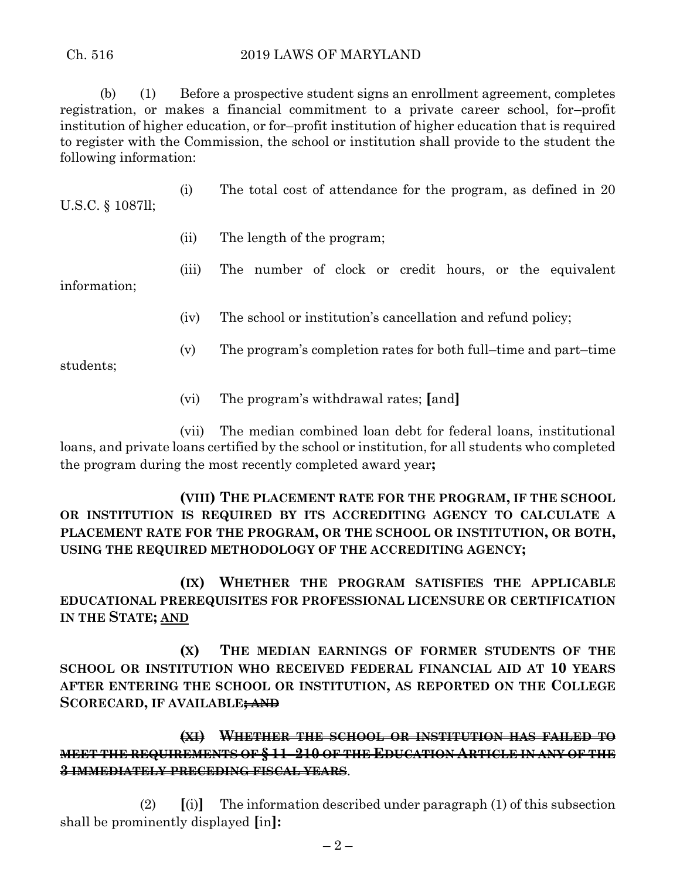(b) (1) Before a prospective student signs an enrollment agreement, completes registration, or makes a financial commitment to a private career school, for–profit institution of higher education, or for–profit institution of higher education that is required to register with the Commission, the school or institution shall provide to the student the following information:

U.S.C. § 1087ll;

- (i) The total cost of attendance for the program, as defined in 20
- (ii) The length of the program;
- (iii) The number of clock or credit hours, or the equivalent

information;

- (iv) The school or institution's cancellation and refund policy;
- (v) The program's completion rates for both full–time and part–time

students;

(vi) The program's withdrawal rates; **[**and**]**

(vii) The median combined loan debt for federal loans, institutional loans, and private loans certified by the school or institution, for all students who completed the program during the most recently completed award year**;**

# **(VIII) THE PLACEMENT RATE FOR THE PROGRAM, IF THE SCHOOL OR INSTITUTION IS REQUIRED BY ITS ACCREDITING AGENCY TO CALCULATE A PLACEMENT RATE FOR THE PROGRAM, OR THE SCHOOL OR INSTITUTION, OR BOTH, USING THE REQUIRED METHODOLOGY OF THE ACCREDITING AGENCY;**

**(IX) WHETHER THE PROGRAM SATISFIES THE APPLICABLE EDUCATIONAL PREREQUISITES FOR PROFESSIONAL LICENSURE OR CERTIFICATION IN THE STATE; AND**

**(X) THE MEDIAN EARNINGS OF FORMER STUDENTS OF THE SCHOOL OR INSTITUTION WHO RECEIVED FEDERAL FINANCIAL AID AT 10 YEARS AFTER ENTERING THE SCHOOL OR INSTITUTION, AS REPORTED ON THE COLLEGE SCORECARD, IF AVAILABLE; AND**

# **(XI) WHETHER THE SCHOOL OR INSTITUTION HAS FAILED TO MEET THE REQUIREMENTS OF § 11–210 OF THE EDUCATION ARTICLE IN ANY OF THE 3 IMMEDIATELY PRECEDING FISCAL YEARS**.

(2) **[**(i)**]** The information described under paragraph (1) of this subsection shall be prominently displayed **[**in**]:**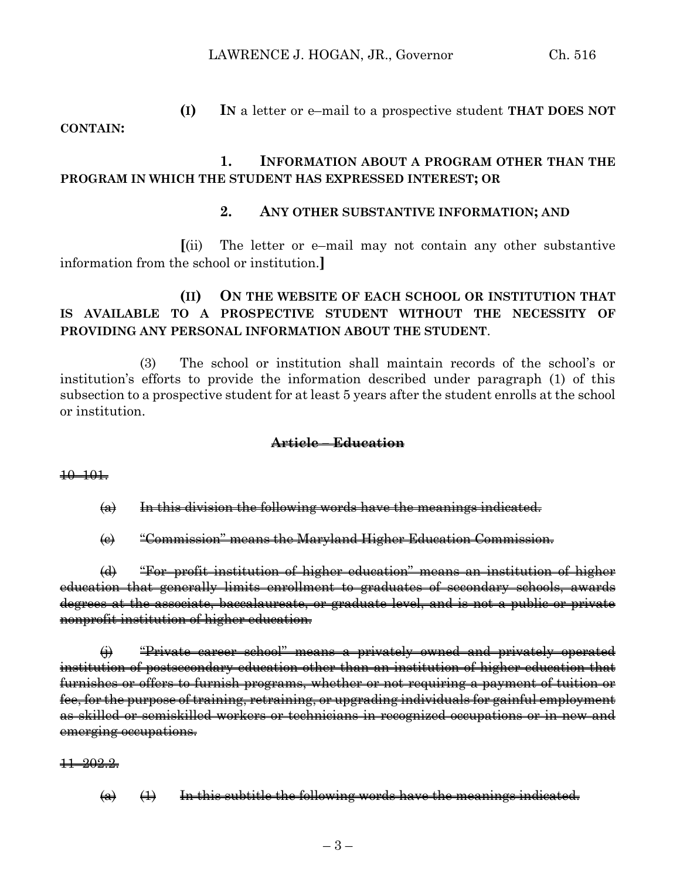**(I) IN** a letter or e–mail to a prospective student **THAT DOES NOT** 

### **CONTAIN:**

## **1. INFORMATION ABOUT A PROGRAM OTHER THAN THE PROGRAM IN WHICH THE STUDENT HAS EXPRESSED INTEREST; OR**

### **2. ANY OTHER SUBSTANTIVE INFORMATION; AND**

**[**(ii) The letter or e–mail may not contain any other substantive information from the school or institution.**]**

## **(II) ON THE WEBSITE OF EACH SCHOOL OR INSTITUTION THAT IS AVAILABLE TO A PROSPECTIVE STUDENT WITHOUT THE NECESSITY OF PROVIDING ANY PERSONAL INFORMATION ABOUT THE STUDENT**.

(3) The school or institution shall maintain records of the school's or institution's efforts to provide the information described under paragraph (1) of this subsection to a prospective student for at least 5 years after the student enrolls at the school or institution.

#### **Article – Education**

#### 10–101.

 $\left( a \right)$  In this division the following words have the meanings indicated.

(c) "Commission" means the Maryland Higher Education Commission.

(d) "For–profit institution of higher education" means an institution of higher education that generally limits enrollment to graduates of secondary schools, awards degrees at the associate, baccalaureate, or graduate level, and is not a public or private nonprofit institution of higher education.

(j) "Private career school" means a privately owned and privately operated institution of postsecondary education other than an institution of higher education that furnishes or offers to furnish programs, whether or not requiring a payment of tuition or fee, for the purpose of training, retraining, or upgrading individuals for gainful employment as skilled or semiskilled workers or technicians in recognized occupations or in new and emerging occupations.

#### 11–202.2.

 $(a)$   $(1)$  In this subtitle the following words have the meanings indicated.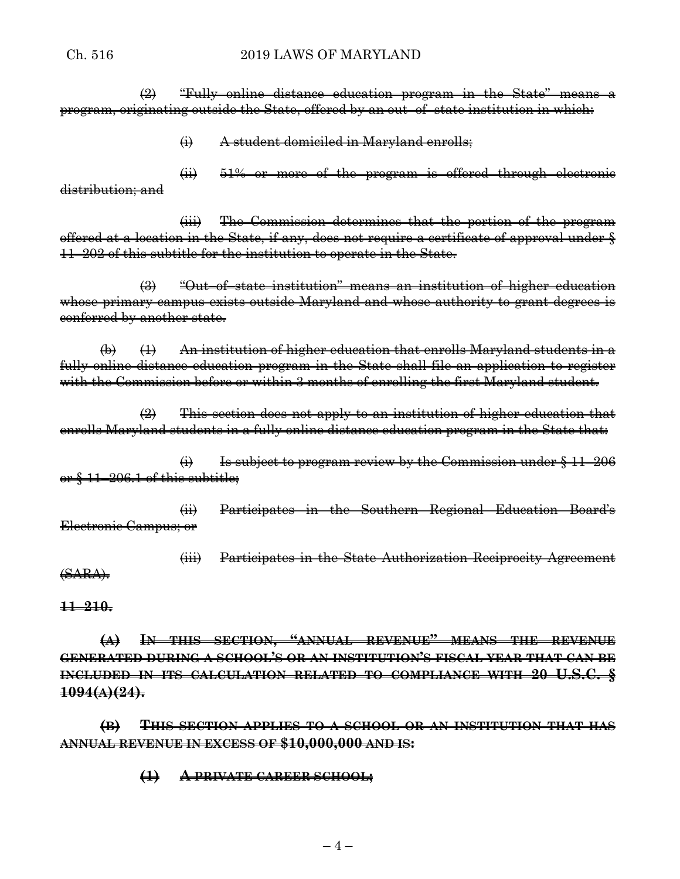#### Ch. 516 2019 LAWS OF MARYLAND

 $\Rightarrow$  "Fully online distance education program in the State" means a program, originating outside the State, offered by an out–of–state institution in which:

(i) A student domiciled in Maryland enrolls;

(ii) 51% or more of the program is offered through electronic distribution; and

(iii) The Commission determines that the portion of the program offered at a location in the State, if any, does not require a certificate of approval under § 11–202 of this subtitle for the institution to operate in the State.

(3) "Out–of–state institution" means an institution of higher education whose primary campus exists outside Maryland and whose authority to grant degrees is conferred by another state.

(b) (1) An institution of higher education that enrolls Maryland students in a fully online distance education program in the State shall file an application to register with the Commission before or within 3 months of enrolling the first Maryland student.

 $(2)$  This section does not apply to an institution of higher education that enrolls Maryland students in a fully online distance education program in the State that:

 $\leftrightarrow$  Is subject to program review by the Commission under  $§$  11–206 or § 11–206.1 of this subtitle;

(ii) Participates in the Southern Regional Education Board's Electronic Campus; or

(iii) Participates in the State Authorization Reciprocity Agreement (SARA).

**11–210.**

**(A) IN THIS SECTION, "ANNUAL REVENUE" MEANS THE REVENUE GENERATED DURING A SCHOOL'S OR AN INSTITUTION'S FISCAL YEAR THAT CAN BE INCLUDED IN ITS CALCULATION RELATED TO COMPLIANCE WITH 20 U.S.C. § 1094(A)(24).**

**(B) THIS SECTION APPLIES TO A SCHOOL OR AN INSTITUTION THAT HAS ANNUAL REVENUE IN EXCESS OF \$10,000,000 AND IS:**

**(1) A PRIVATE CAREER SCHOOL;**